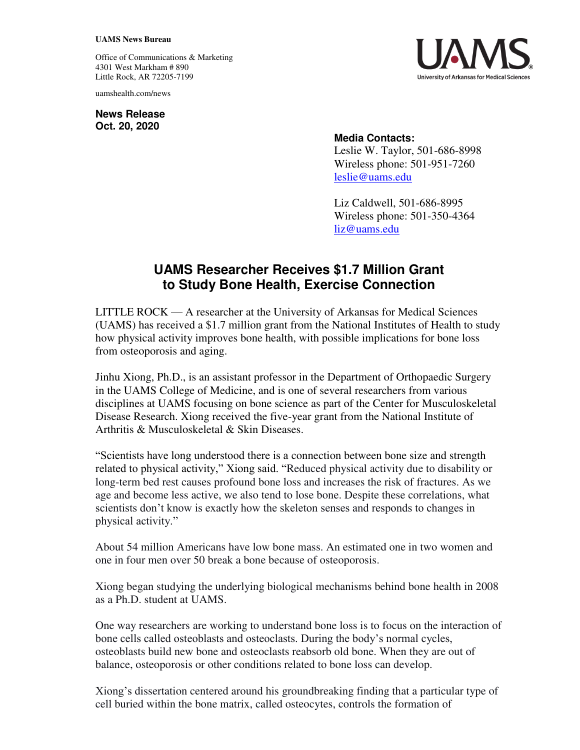## **UAMS News Bureau**

Office of Communications & Marketing 4301 West Markham # 890 Little Rock, AR 72205-7199

uamshealth.com/news

**News Release Oct. 20, 2020**



## **Media Contacts:**

Leslie W. Taylor, 501-686-8998 Wireless phone: 501-951-7260 [leslie@uams.edu](mailto:leslie@uams.edu)

Liz Caldwell, 501-686-8995 Wireless phone: 501-350-4364 [liz@uams.edu](mailto:liz@uams.edu)

## **UAMS Researcher Receives \$1.7 Million Grant to Study Bone Health, Exercise Connection**

LITTLE ROCK — A researcher at the University of Arkansas for Medical Sciences (UAMS) has received a \$1.7 million grant from the National Institutes of Health to study how physical activity improves bone health, with possible implications for bone loss from osteoporosis and aging.

Jinhu Xiong, Ph.D., is an assistant professor in the Department of Orthopaedic Surgery in the UAMS College of Medicine, and is one of several researchers from various disciplines at UAMS focusing on bone science as part of the Center for Musculoskeletal Disease Research. Xiong received the five-year grant from the National Institute of Arthritis & Musculoskeletal & Skin Diseases.

"Scientists have long understood there is a connection between bone size and strength related to physical activity," Xiong said. "Reduced physical activity due to disability or long-term bed rest causes profound bone loss and increases the risk of fractures. As we age and become less active, we also tend to lose bone. Despite these correlations, what scientists don't know is exactly how the skeleton senses and responds to changes in physical activity."

About 54 million Americans have low bone mass. An estimated one in two women and one in four men over 50 break a bone because of osteoporosis.

Xiong began studying the underlying biological mechanisms behind bone health in 2008 as a Ph.D. student at UAMS.

One way researchers are working to understand bone loss is to focus on the interaction of bone cells called osteoblasts and osteoclasts. During the body's normal cycles, osteoblasts build new bone and osteoclasts reabsorb old bone. When they are out of balance, osteoporosis or other conditions related to bone loss can develop.

Xiong's dissertation centered around his groundbreaking finding that a particular type of cell buried within the bone matrix, called osteocytes, controls the formation of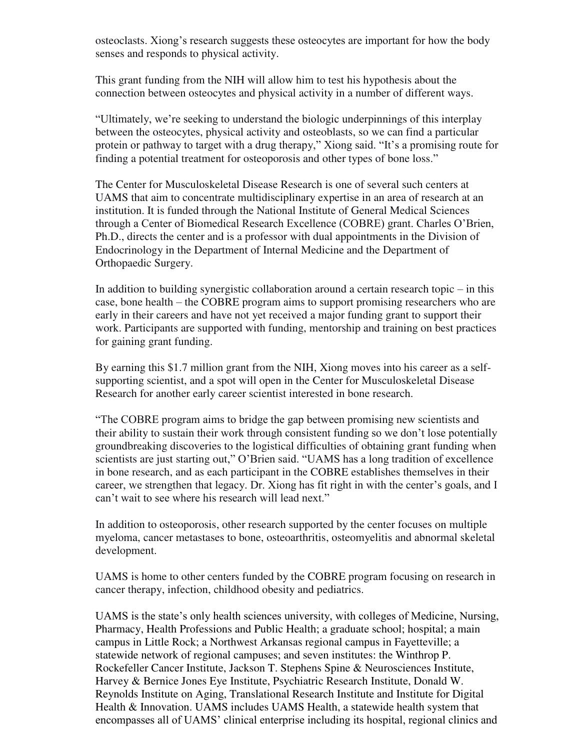osteoclasts. Xiong's research suggests these osteocytes are important for how the body senses and responds to physical activity.

This grant funding from the NIH will allow him to test his hypothesis about the connection between osteocytes and physical activity in a number of different ways.

"Ultimately, we're seeking to understand the biologic underpinnings of this interplay between the osteocytes, physical activity and osteoblasts, so we can find a particular protein or pathway to target with a drug therapy," Xiong said. "It's a promising route for finding a potential treatment for osteoporosis and other types of bone loss."

The Center for Musculoskeletal Disease Research is one of several such centers at UAMS that aim to concentrate multidisciplinary expertise in an area of research at an institution. It is funded through the National Institute of General Medical Sciences through a Center of Biomedical Research Excellence (COBRE) grant. Charles O'Brien, Ph.D., directs the center and is a professor with dual appointments in the Division of Endocrinology in the Department of Internal Medicine and the Department of Orthopaedic Surgery.

In addition to building synergistic collaboration around a certain research topic  $-$  in this case, bone health – the COBRE program aims to support promising researchers who are early in their careers and have not yet received a major funding grant to support their work. Participants are supported with funding, mentorship and training on best practices for gaining grant funding.

By earning this \$1.7 million grant from the NIH, Xiong moves into his career as a selfsupporting scientist, and a spot will open in the Center for Musculoskeletal Disease Research for another early career scientist interested in bone research.

"The COBRE program aims to bridge the gap between promising new scientists and their ability to sustain their work through consistent funding so we don't lose potentially groundbreaking discoveries to the logistical difficulties of obtaining grant funding when scientists are just starting out," O'Brien said. "UAMS has a long tradition of excellence in bone research, and as each participant in the COBRE establishes themselves in their career, we strengthen that legacy. Dr. Xiong has fit right in with the center's goals, and I can't wait to see where his research will lead next."

In addition to osteoporosis, other research supported by the center focuses on multiple myeloma, cancer metastases to bone, osteoarthritis, osteomyelitis and abnormal skeletal development.

UAMS is home to other centers funded by the COBRE program focusing on research in cancer therapy, infection, childhood obesity and pediatrics.

UAMS is the state's only health sciences university, with colleges of Medicine, Nursing, Pharmacy, Health Professions and Public Health; a graduate school; hospital; a main campus in Little Rock; a Northwest Arkansas regional campus in Fayetteville; a statewide network of regional campuses; and seven institutes: the Winthrop P. Rockefeller Cancer Institute, Jackson T. Stephens Spine & Neurosciences Institute, Harvey & Bernice Jones Eye Institute, Psychiatric Research Institute, Donald W. Reynolds Institute on Aging, Translational Research Institute and Institute for Digital Health & Innovation. UAMS includes UAMS Health, a statewide health system that encompasses all of UAMS' clinical enterprise including its hospital, regional clinics and